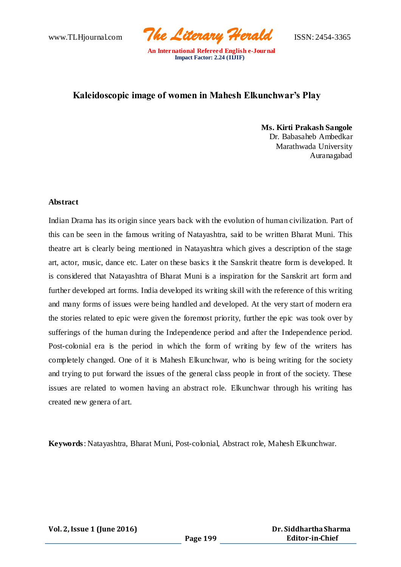www.TLHjournal.com *The Literary Herald*ISSN: 2454-3365

# **Kaleidoscopic image of women in Mahesh Elkunchwar's Play**

**Ms. Kirti Prakash Sangole** Dr. Babasaheb Ambedkar Marathwada University Auranagabad

#### **Abstract**

Indian Drama has its origin since years back with the evolution of human civilization. Part of this can be seen in the famous writing of Natayashtra, said to be written Bharat Muni. This theatre art is clearly being mentioned in Natayashtra which gives a description of the stage art, actor, music, dance etc. Later on these basics it the Sanskrit theatre form is developed. It is considered that Natayashtra of Bharat Muni is a inspiration for the Sanskrit art form and further developed art forms. India developed its writing skill with the reference of this writing and many forms of issues were being handled and developed. At the very start of modern era the stories related to epic were given the foremost priority, further the epic was took over by sufferings of the human during the Independence period and after the Independence period. Post-colonial era is the period in which the form of writing by few of the writers has completely changed. One of it is Mahesh Elkunchwar, who is being writing for the society and trying to put forward the issues of the general class people in front of the society. These issues are related to women having an abstract role. Elkunchwar through his writing has created new genera of art.

**Keywords**: Natayashtra, Bharat Muni, Post-colonial, Abstract role, Mahesh Elkunchwar.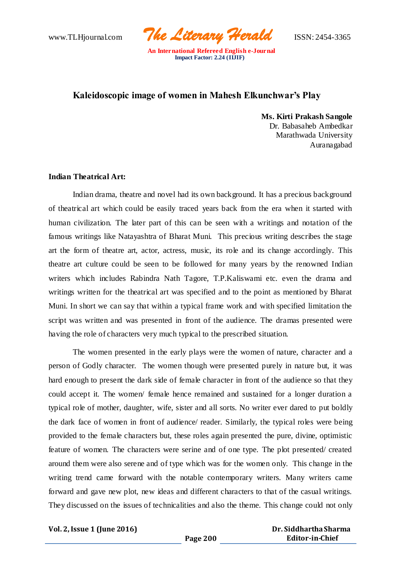www.TLHjournal.com *The Literary Herald*ISSN: 2454-3365

## **Kaleidoscopic image of women in Mahesh Elkunchwar's Play**

 **Ms. Kirti Prakash Sangole** Dr. Babasaheb Ambedkar Marathwada University Auranagabad

## **Indian Theatrical Art:**

Indian drama, theatre and novel had its own background. It has a precious background of theatrical art which could be easily traced years back from the era when it started with human civilization. The later part of this can be seen with a writings and notation of the famous writings like Natayashtra of Bharat Muni. This precious writing describes the stage art the form of theatre art, actor, actress, music, its role and its change accordingly. This theatre art culture could be seen to be followed for many years by the renowned Indian writers which includes Rabindra Nath Tagore, T.P.Kaliswami etc. even the drama and writings written for the theatrical art was specified and to the point as mentioned by Bharat Muni. In short we can say that within a typical frame work and with specified limitation the script was written and was presented in front of the audience. The dramas presented were having the role of characters very much typical to the prescribed situation.

The women presented in the early plays were the women of nature, character and a person of Godly character. The women though were presented purely in nature but, it was hard enough to present the dark side of female character in front of the audience so that they could accept it. The women/ female hence remained and sustained for a longer duration a typical role of mother, daughter, wife, sister and all sorts. No writer ever dared to put boldly the dark face of women in front of audience/ reader. Similarly, the typical roles were being provided to the female characters but, these roles again presented the pure, divine, optimistic feature of women. The characters were serine and of one type. The plot presented/ created around them were also serene and of type which was for the women only. This change in the writing trend came forward with the notable contemporary writers. Many writers came forward and gave new plot, new ideas and different characters to that of the casual writings. They discussed on the issues of technicalities and also the theme. This change could not only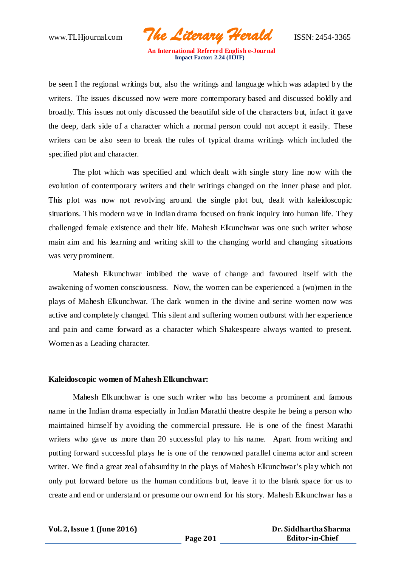www.TLHjournal.com *The Literary Herald*ISSN: 2454-3365

be seen I the regional writings but, also the writings and language which was adapted b y the writers. The issues discussed now were more contemporary based and discussed boldly and broadly. This issues not only discussed the beautiful side of the characters but, infact it gave the deep, dark side of a character which a normal person could not accept it easily. These writers can be also seen to break the rules of typical drama writings which included the specified plot and character.

The plot which was specified and which dealt with single story line now with the evolution of contemporary writers and their writings changed on the inner phase and plot. This plot was now not revolving around the single plot but, dealt with kaleidoscopic situations. This modern wave in Indian drama focused on frank inquiry into human life. They challenged female existence and their life. Mahesh Elkunchwar was one such writer whose main aim and his learning and writing skill to the changing world and changing situations was very prominent.

Mahesh Elkunchwar imbibed the wave of change and favoured itself with the awakening of women consciousness. Now, the women can be experienced a (wo)men in the plays of Mahesh Elkunchwar. The dark women in the divine and serine women now was active and completely changed. This silent and suffering women outburst with her experience and pain and came forward as a character which Shakespeare always wanted to present. Women as a Leading character.

#### **Kaleidoscopic women of Mahesh Elkunchwar:**

Mahesh Elkunchwar is one such writer who has become a prominent and famous name in the Indian drama especially in Indian Marathi theatre despite he being a person who maintained himself by avoiding the commercial pressure. He is one of the finest Marathi writers who gave us more than 20 successful play to his name. Apart from writing and putting forward successful plays he is one of the renowned parallel cinema actor and screen writer. We find a great zeal of absurdity in the plays of Mahesh Elkunchwar's play which not only put forward before us the human conditions but, leave it to the blank space for us to create and end or understand or presume our own end for his story. Mahesh Elkunchwar has a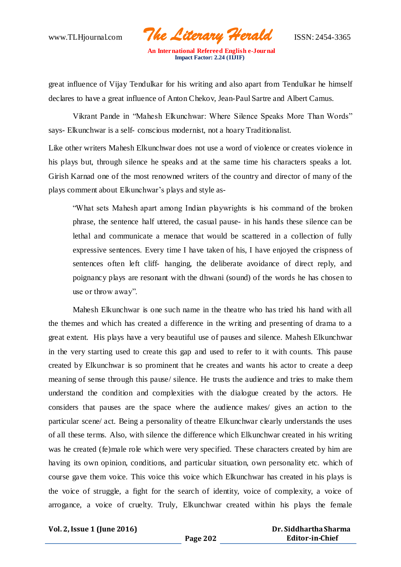www.TLHjournal.com *The Literary Herald*ISSN: 2454-3365

great influence of Vijay Tendulkar for his writing and also apart from Tendulkar he himself declares to have a great influence of Anton Chekov, Jean-Paul Sartre and Albert Camus.

Vikrant Pande in "Mahesh Elkunchwar: Where Silence Speaks More Than Words" says- Elkunchwar is a self- conscious modernist, not a hoary Traditionalist.

Like other writers Mahesh Elkunchwar does not use a word of violence or creates violence in his plays but, through silence he speaks and at the same time his characters speaks a lot. Girish Karnad one of the most renowned writers of the country and director of many of the plays comment about Elkunchwar's plays and style as-

"What sets Mahesh apart among Indian playwrights is his command of the broken phrase, the sentence half uttered, the casual pause- in his hands these silence can be lethal and communicate a menace that would be scattered in a collection of fully expressive sentences. Every time I have taken of his, I have enjoyed the crispness of sentences often left cliff- hanging, the deliberate avoidance of direct reply, and poignancy plays are resonant with the dhwani (sound) of the words he has chosen to use or throw away".

Mahesh Elkunchwar is one such name in the theatre who has tried his hand with all the themes and which has created a difference in the writing and presenting of drama to a great extent. His plays have a very beautiful use of pauses and silence. Mahesh Elkunchwar in the very starting used to create this gap and used to refer to it with counts. This pause created by Elkunchwar is so prominent that he creates and wants his actor to create a deep meaning of sense through this pause/ silence. He trusts the audience and tries to make them understand the condition and complexities with the dialogue created by the actors. He considers that pauses are the space where the audience makes/ gives an action to the particular scene/ act. Being a personality of theatre Elkunchwar clearly understands the uses of all these terms. Also, with silence the difference which Elkunchwar created in his writing was he created (fe)male role which were very specified. These characters created by him are having its own opinion, conditions, and particular situation, own personality etc. which of course gave them voice. This voice this voice which Elkunchwar has created in his plays is the voice of struggle, a fight for the search of identity, voice of complexity, a voice of arrogance, a voice of cruelty. Truly, Elkunchwar created within his plays the female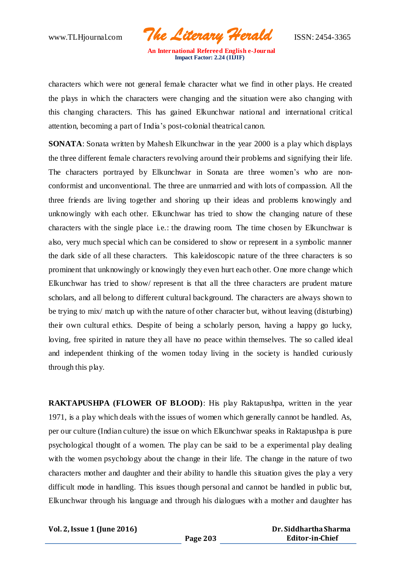www.TLHjournal.com *The Literary Herald*ISSN: 2454-3365

characters which were not general female character what we find in other plays. He created the plays in which the characters were changing and the situation were also changing with this changing characters. This has gained Elkunchwar national and international critical attention, becoming a part of India's post-colonial theatrical canon.

**SONATA**: Sonata written by Mahesh Elkunchwar in the year 2000 is a play which displays the three different female characters revolving around their problems and signifying their life. The characters portrayed by Elkunchwar in Sonata are three women's who are nonconformist and unconventional. The three are unmarried and with lots of compassion. All the three friends are living together and shoring up their ideas and problems knowingly and unknowingly with each other. Elkunchwar has tried to show the changing nature of these characters with the single place i.e.: the drawing room. The time chosen by Elkunchwar is also, very much special which can be considered to show or represent in a symbolic manner the dark side of all these characters. This kaleidoscopic nature of the three characters is so prominent that unknowingly or knowingly they even hurt each other. One more change which Elkunchwar has tried to show/ represent is that all the three characters are prudent mature scholars, and all belong to different cultural background. The characters are always shown to be trying to mix/ match up with the nature of other character but, without leaving (disturbing) their own cultural ethics. Despite of being a scholarly person, having a happy go lucky, loving, free spirited in nature they all have no peace within themselves. The so called ideal and independent thinking of the women today living in the society is handled curiously through this play.

**RAKTAPUSHPA (FLOWER OF BLOOD)**: His play Raktapushpa, written in the year 1971, is a play which deals with the issues of women which generally cannot be handled. As, per our culture (Indian culture) the issue on which Elkunchwar speaks in Raktapushpa is pure psychological thought of a women. The play can be said to be a experimental play dealing with the women psychology about the change in their life. The change in the nature of two characters mother and daughter and their ability to handle this situation gives the play a very difficult mode in handling. This issues though personal and cannot be handled in public but, Elkunchwar through his language and through his dialogues with a mother and daughter has